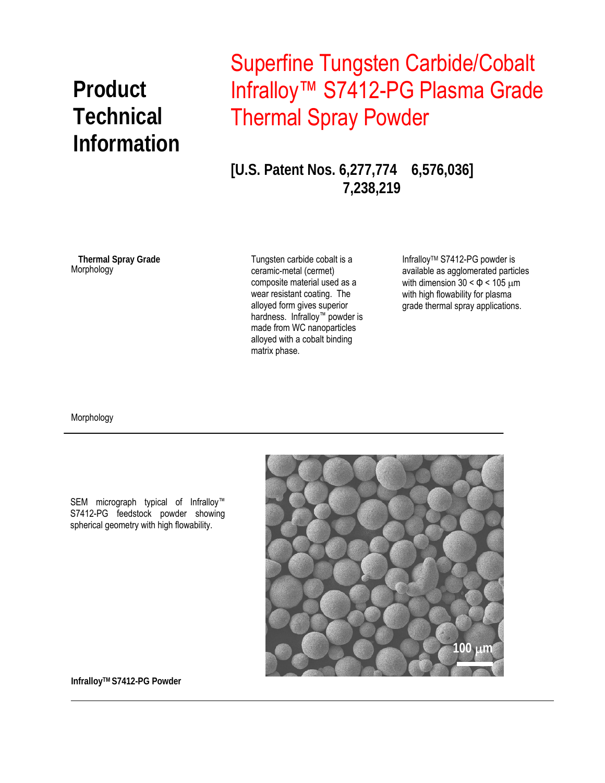## **Technical Information**

## Superfine Tungsten Carbide/Cobalt **Product** Infralloy™ S7412-PG Plasma Grade Thermal Spray Powder

**[U.S. Patent Nos. 6,277,774 6,576,036] 7,238,219** 

Morphology **Thermal Spray Grade** 

Tungsten carbide cobalt is a ceramic-metal (cermet) composite material used as a wear resistant coating. The alloyed form gives superior hardness. Infralloy™ powder is made from WC nanoparticles alloyed with a cobalt binding matrix phase.

Infralloy™ S7412-PG powder is available as agglomerated particles with dimension  $30 < \Phi < 105 \mu m$ with high flowability for plasma grade thermal spray applications.

Morphology





**InfralloyTM S7412-PG Powder**